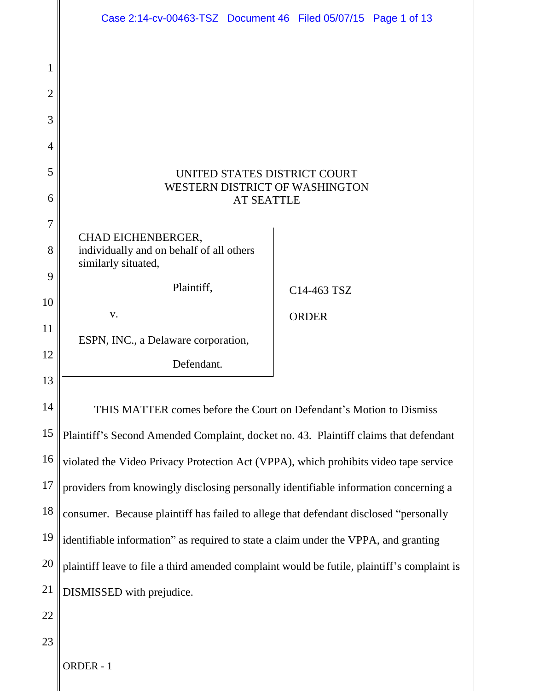|                | Case 2:14-cv-00463-TSZ Document 46 Filed 05/07/15 Page 1 of 13                              |  |              |  |  |
|----------------|---------------------------------------------------------------------------------------------|--|--------------|--|--|
|                |                                                                                             |  |              |  |  |
| 1              |                                                                                             |  |              |  |  |
| $\overline{2}$ |                                                                                             |  |              |  |  |
| 3              |                                                                                             |  |              |  |  |
| 4              |                                                                                             |  |              |  |  |
| 5              | UNITED STATES DISTRICT COURT<br>WESTERN DISTRICT OF WASHINGTON                              |  |              |  |  |
| 6              | <b>AT SEATTLE</b>                                                                           |  |              |  |  |
| 7              | CHAD EICHENBERGER,                                                                          |  |              |  |  |
| 8              | individually and on behalf of all others<br>similarly situated,                             |  |              |  |  |
| 9              | Plaintiff,                                                                                  |  | C14-463 TSZ  |  |  |
| 10             | V.                                                                                          |  |              |  |  |
| 11             | ESPN, INC., a Delaware corporation,                                                         |  | <b>ORDER</b> |  |  |
| 12             | Defendant.                                                                                  |  |              |  |  |
| 13             |                                                                                             |  |              |  |  |
| 14             | THIS MATTER comes before the Court on Defendant's Motion to Dismiss                         |  |              |  |  |
| 15             | Plaintiff's Second Amended Complaint, docket no. 43. Plaintiff claims that defendant        |  |              |  |  |
| 16             | violated the Video Privacy Protection Act (VPPA), which prohibits video tape service        |  |              |  |  |
| 17             | providers from knowingly disclosing personally identifiable information concerning a        |  |              |  |  |
| 18             | consumer. Because plaintiff has failed to allege that defendant disclosed "personally       |  |              |  |  |
| 19             | identifiable information" as required to state a claim under the VPPA, and granting         |  |              |  |  |
| 20             | plaintiff leave to file a third amended complaint would be futile, plaintiff's complaint is |  |              |  |  |
| 21             | DISMISSED with prejudice.                                                                   |  |              |  |  |
| 22             |                                                                                             |  |              |  |  |
| 23             |                                                                                             |  |              |  |  |
|                | ORDER - 1                                                                                   |  |              |  |  |
|                |                                                                                             |  |              |  |  |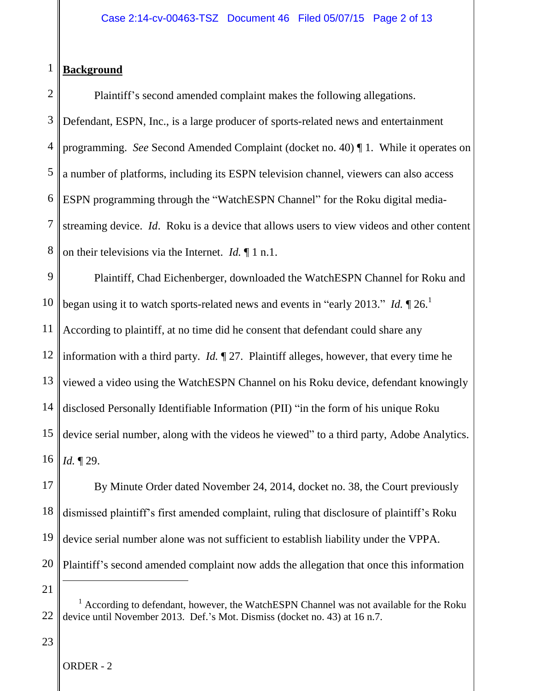## 1 **Background**

2 3 4 5 6 7 8 Plaintiff's second amended complaint makes the following allegations. Defendant, ESPN, Inc., is a large producer of sports-related news and entertainment programming. *See* Second Amended Complaint (docket no. 40) ¶ 1. While it operates on a number of platforms, including its ESPN television channel, viewers can also access ESPN programming through the "WatchESPN Channel" for the Roku digital mediastreaming device. *Id*. Roku is a device that allows users to view videos and other content on their televisions via the Internet. *Id.* ¶ 1 n.1.

9 10 11 12 13 14 15 16 Plaintiff, Chad Eichenberger, downloaded the WatchESPN Channel for Roku and began using it to watch sports-related news and events in "early 2013." *Id.*  $\P$  26.<sup>1</sup> According to plaintiff, at no time did he consent that defendant could share any information with a third party. *Id.* ¶ 27. Plaintiff alleges, however, that every time he viewed a video using the WatchESPN Channel on his Roku device, defendant knowingly disclosed Personally Identifiable Information (PII) "in the form of his unique Roku device serial number, along with the videos he viewed" to a third party, Adobe Analytics. *Id.* ¶ 29.

17 18 19 20 By Minute Order dated November 24, 2014, docket no. 38, the Court previously dismissed plaintiff's first amended complaint, ruling that disclosure of plaintiff's Roku device serial number alone was not sufficient to establish liability under the VPPA. Plaintiff's second amended complaint now adds the allegation that once this information

21

22

 $1$  According to defendant, however, the WatchESPN Channel was not available for the Roku device until November 2013. Def.'s Mot. Dismiss (docket no. 43) at 16 n.7.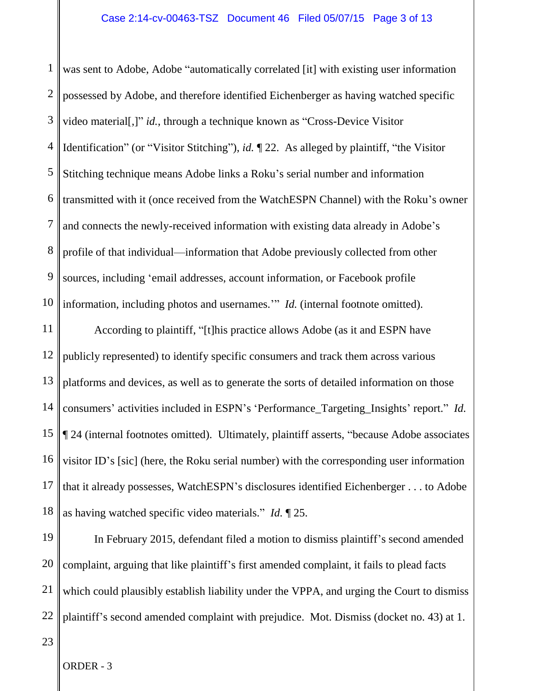1 2 3 4 5 6 7 8 9 10 was sent to Adobe, Adobe "automatically correlated [it] with existing user information possessed by Adobe, and therefore identified Eichenberger as having watched specific video material[,]" *id.*, through a technique known as "Cross-Device Visitor Identification" (or "Visitor Stitching"), *id.* ¶ 22. As alleged by plaintiff, "the Visitor Stitching technique means Adobe links a Roku's serial number and information transmitted with it (once received from the WatchESPN Channel) with the Roku's owner and connects the newly-received information with existing data already in Adobe's profile of that individual—information that Adobe previously collected from other sources, including 'email addresses, account information, or Facebook profile information, including photos and usernames.'" *Id.* (internal footnote omitted).

11 12 13 14 15 16 17 18 According to plaintiff, "[t]his practice allows Adobe (as it and ESPN have publicly represented) to identify specific consumers and track them across various platforms and devices, as well as to generate the sorts of detailed information on those consumers' activities included in ESPN's 'Performance\_Targeting\_Insights' report." *Id.*  ¶ 24 (internal footnotes omitted). Ultimately, plaintiff asserts, "because Adobe associates visitor ID's [sic] (here, the Roku serial number) with the corresponding user information that it already possesses, WatchESPN's disclosures identified Eichenberger . . . to Adobe as having watched specific video materials." *Id.* ¶ 25.

19 20 21 22 In February 2015, defendant filed a motion to dismiss plaintiff's second amended complaint, arguing that like plaintiff's first amended complaint, it fails to plead facts which could plausibly establish liability under the VPPA, and urging the Court to dismiss plaintiff's second amended complaint with prejudice. Mot. Dismiss (docket no. 43) at 1.

23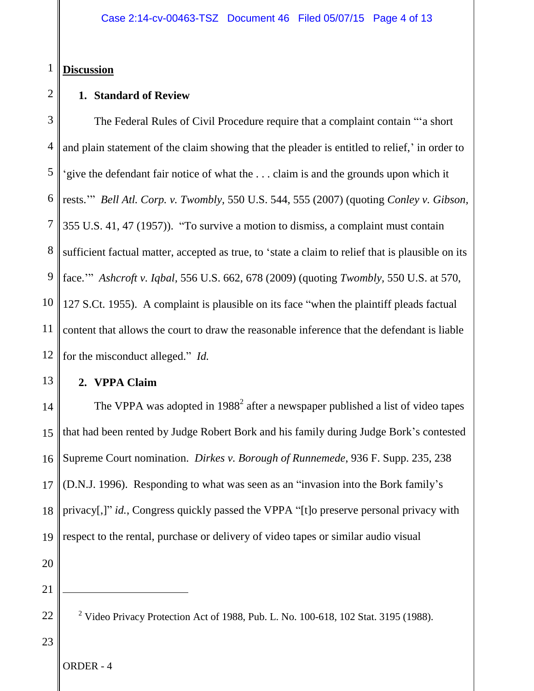## 1 **Discussion**

2

## **1. Standard of Review**

3 4 5 6 7 8 9 10 11 12 The Federal Rules of Civil Procedure require that a complaint contain "'a short and plain statement of the claim showing that the pleader is entitled to relief,' in order to 'give the defendant fair notice of what the . . . claim is and the grounds upon which it rests.'" *Bell Atl. Corp. v. Twombly,* 550 U.S. 544, 555 (2007) (quoting *Conley v. Gibson,* 355 U.S. 41, 47 (1957)). "To survive a motion to dismiss, a complaint must contain sufficient factual matter, accepted as true, to 'state a claim to relief that is plausible on its face.'" *Ashcroft v. Iqbal,* 556 U.S. 662, 678 (2009) (quoting *Twombly,* 550 U.S. at 570, 127 S.Ct. 1955). A complaint is plausible on its face "when the plaintiff pleads factual content that allows the court to draw the reasonable inference that the defendant is liable for the misconduct alleged." *Id.*

**2. VPPA Claim**

14 15 16 17 18 19 20 The VPPA was adopted in  $1988<sup>2</sup>$  after a newspaper published a list of video tapes that had been rented by Judge Robert Bork and his family during Judge Bork's contested Supreme Court nomination. *Dirkes v. Borough of Runnemede*, 936 F. Supp. 235, 238 (D.N.J. 1996). Responding to what was seen as an "invasion into the Bork family's privacy[,]" *id.*, Congress quickly passed the VPPA "[t]o preserve personal privacy with respect to the rental, purchase or delivery of video tapes or similar audio visual

21

 $\overline{a}$ 

13

23

<sup>&</sup>lt;sup>2</sup> Video Privacy Protection Act of 1988, Pub. L. No. 100-618, 102 Stat. 3195 (1988).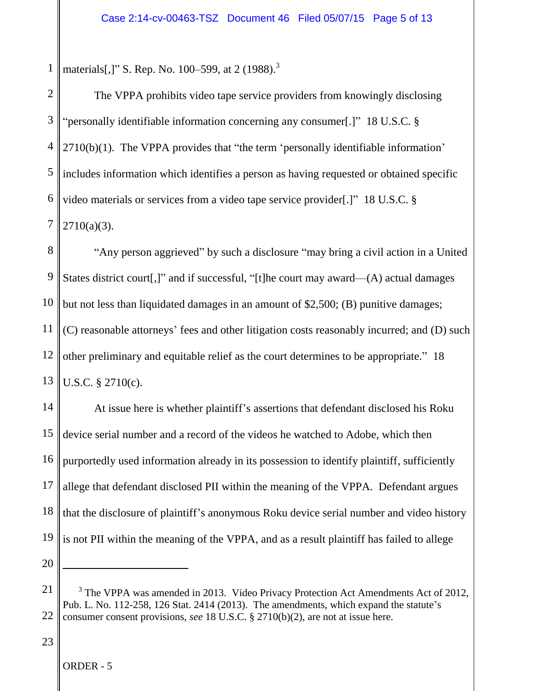1 materials[,]" S. Rep. No. 100–599, at 2 (1988).<sup>3</sup>

2 3 4 5 6 7 The VPPA prohibits video tape service providers from knowingly disclosing "personally identifiable information concerning any consumer[.]" 18 U.S.C. § 2710(b)(1). The VPPA provides that "the term 'personally identifiable information' includes information which identifies a person as having requested or obtained specific video materials or services from a video tape service provider[.]" 18 U.S.C. §  $2710(a)(3)$ .

8 9 10 11 12 13 "Any person aggrieved" by such a disclosure "may bring a civil action in a United States district court[,]" and if successful, "[t]he court may award—(A) actual damages but not less than liquidated damages in an amount of \$2,500; (B) punitive damages; (C) reasonable attorneys' fees and other litigation costs reasonably incurred; and (D) such other preliminary and equitable relief as the court determines to be appropriate." 18 U.S.C. § 2710(c).

14 15 16 17 18 19 20 At issue here is whether plaintiff's assertions that defendant disclosed his Roku device serial number and a record of the videos he watched to Adobe, which then purportedly used information already in its possession to identify plaintiff, sufficiently allege that defendant disclosed PII within the meaning of the VPPA. Defendant argues that the disclosure of plaintiff's anonymous Roku device serial number and video history is not PII within the meaning of the VPPA, and as a result plaintiff has failed to allege

23

<sup>21</sup> 22 <sup>3</sup> The VPPA was amended in 2013. Video Privacy Protection Act Amendments Act of 2012, Pub. L. No. 112-258, 126 Stat. 2414 (2013). The amendments, which expand the statute's consumer consent provisions, *see* 18 U.S.C. § 2710(b)(2), are not at issue here.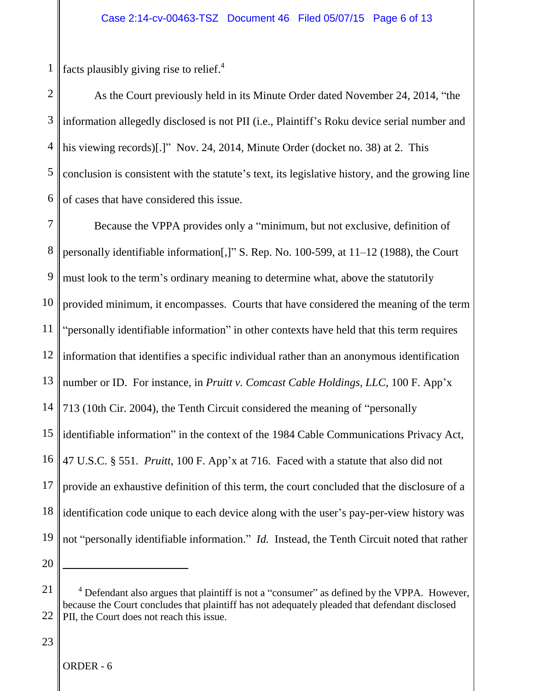1 facts plausibly giving rise to relief.<sup>4</sup>

2 3 4 5 6 As the Court previously held in its Minute Order dated November 24, 2014, "the information allegedly disclosed is not PII (i.e., Plaintiff's Roku device serial number and his viewing records)[.]" Nov. 24, 2014, Minute Order (docket no. 38) at 2. This conclusion is consistent with the statute's text, its legislative history, and the growing line of cases that have considered this issue.

7 8 9 10 11 12 13 14 15 16 17 18 19 20 Because the VPPA provides only a "minimum, but not exclusive, definition of personally identifiable information[,]" S. Rep. No. 100-599, at 11–12 (1988), the Court must look to the term's ordinary meaning to determine what, above the statutorily provided minimum, it encompasses. Courts that have considered the meaning of the term "personally identifiable information" in other contexts have held that this term requires information that identifies a specific individual rather than an anonymous identification number or ID. For instance, in *Pruitt v. Comcast Cable Holdings, LLC*, 100 F. App'x 713 (10th Cir. 2004), the Tenth Circuit considered the meaning of "personally identifiable information" in the context of the 1984 Cable Communications Privacy Act, 47 U.S.C. § 551. *Pruitt*, 100 F. App'x at 716. Faced with a statute that also did not provide an exhaustive definition of this term, the court concluded that the disclosure of a identification code unique to each device along with the user's pay-per-view history was not "personally identifiable information." *Id.* Instead, the Tenth Circuit noted that rather

23

<sup>21</sup> 22  $4$  Defendant also argues that plaintiff is not a "consumer" as defined by the VPPA. However, because the Court concludes that plaintiff has not adequately pleaded that defendant disclosed PII, the Court does not reach this issue.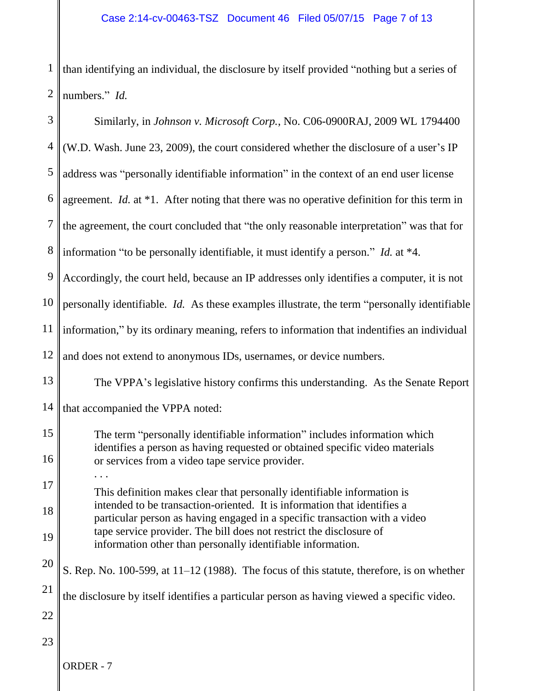1  $\left|2\right|$ than identifying an individual, the disclosure by itself provided "nothing but a series of numbers." *Id.* 

| 3  | Similarly, in Johnson v. Microsoft Corp., No. C06-0900RAJ, 2009 WL 1794400                                                                             |
|----|--------------------------------------------------------------------------------------------------------------------------------------------------------|
| 4  | (W.D. Wash. June 23, 2009), the court considered whether the disclosure of a user's IP                                                                 |
| 5  | address was "personally identifiable information" in the context of an end user license                                                                |
| 6  | agreement. <i>Id.</i> at $*1$ . After noting that there was no operative definition for this term in                                                   |
| 7  | the agreement, the court concluded that "the only reasonable interpretation" was that for                                                              |
| 8  | information "to be personally identifiable, it must identify a person." Id. at $*4$ .                                                                  |
| 9  | Accordingly, the court held, because an IP addresses only identifies a computer, it is not                                                             |
| 10 | personally identifiable. Id. As these examples illustrate, the term "personally identifiable                                                           |
| 11 | information," by its ordinary meaning, refers to information that indentifies an individual                                                            |
| 12 | and does not extend to anonymous IDs, usernames, or device numbers.                                                                                    |
| 13 | The VPPA's legislative history confirms this understanding. As the Senate Report                                                                       |
| 14 | that accompanied the VPPA noted:                                                                                                                       |
| 15 | The term "personally identifiable information" includes information which                                                                              |
| 16 | identifies a person as having requested or obtained specific video materials<br>or services from a video tape service provider.                        |
| 17 | This definition makes clear that personally identifiable information is                                                                                |
| 18 | intended to be transaction-oriented. It is information that identifies a<br>particular person as having engaged in a specific transaction with a video |
| 19 | tape service provider. The bill does not restrict the disclosure of<br>information other than personally identifiable information.                     |
| 20 | S. Rep. No. 100-599, at 11-12 (1988). The focus of this statute, therefore, is on whether                                                              |
| 21 | the disclosure by itself identifies a particular person as having viewed a specific video.                                                             |
| 22 |                                                                                                                                                        |
| 23 |                                                                                                                                                        |
|    | ORDER - 7                                                                                                                                              |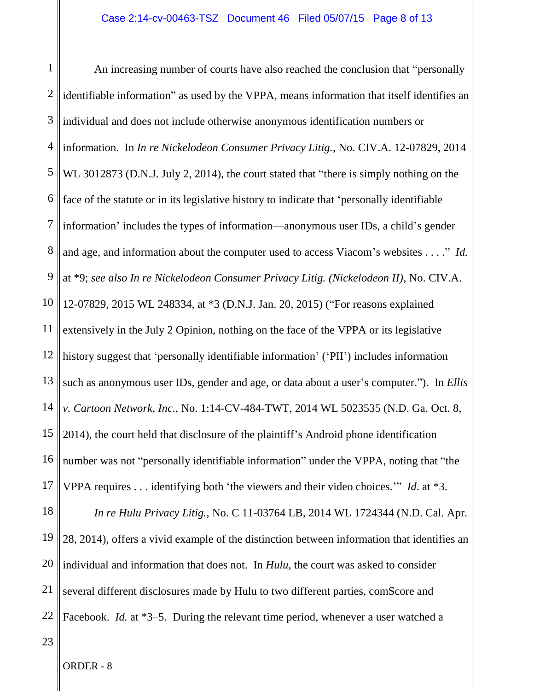1 2 3 4 5 6 7 8 9 10 11 12 13 14 15 16 17 18 19 20 21 22 An increasing number of courts have also reached the conclusion that "personally identifiable information" as used by the VPPA, means information that itself identifies an individual and does not include otherwise anonymous identification numbers or information. In *In re Nickelodeon Consumer Privacy Litig.*, No. CIV.A. 12-07829, 2014 WL 3012873 (D.N.J. July 2, 2014), the court stated that "there is simply nothing on the face of the statute or in its legislative history to indicate that 'personally identifiable information' includes the types of information—anonymous user IDs, a child's gender and age, and information about the computer used to access Viacom's websites . . . ." *Id.*  at \*9; *see also In re Nickelodeon Consumer Privacy Litig. (Nickelodeon II)*, No. CIV.A. 12-07829, 2015 WL 248334, at \*3 (D.N.J. Jan. 20, 2015) ("For reasons explained extensively in the July 2 Opinion, nothing on the face of the VPPA or its legislative history suggest that 'personally identifiable information' ('PII') includes information such as anonymous user IDs, gender and age, or data about a user's computer."). In *Ellis v. Cartoon Network, Inc.*, No. 1:14-CV-484-TWT, 2014 WL 5023535 (N.D. Ga. Oct. 8, 2014), the court held that disclosure of the plaintiff's Android phone identification number was not "personally identifiable information" under the VPPA, noting that "the VPPA requires . . . identifying both 'the viewers and their video choices.'" *Id*. at \*3. *In re Hulu Privacy Litig.*, No. C 11-03764 LB, 2014 WL 1724344 (N.D. Cal. Apr. 28, 2014), offers a vivid example of the distinction between information that identifies an individual and information that does not. In *Hulu*, the court was asked to consider several different disclosures made by Hulu to two different parties, comScore and Facebook. *Id.* at \*3–5. During the relevant time period, whenever a user watched a

23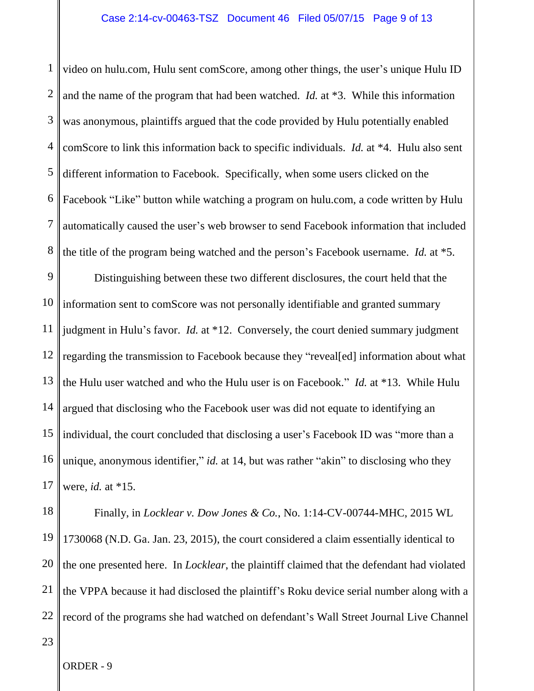## Case 2:14-cv-00463-TSZ Document 46 Filed 05/07/15 Page 9 of 13

1 2 3 4 5 6 7 8 video on hulu.com, Hulu sent comScore, among other things, the user's unique Hulu ID and the name of the program that had been watched. *Id.* at \*3. While this information was anonymous, plaintiffs argued that the code provided by Hulu potentially enabled comScore to link this information back to specific individuals. *Id.* at \*4. Hulu also sent different information to Facebook. Specifically, when some users clicked on the Facebook "Like" button while watching a program on hulu.com, a code written by Hulu automatically caused the user's web browser to send Facebook information that included the title of the program being watched and the person's Facebook username. *Id.* at \*5.

9 10 11 12 13 14 15 16 17 Distinguishing between these two different disclosures, the court held that the information sent to comScore was not personally identifiable and granted summary judgment in Hulu's favor. *Id.* at \*12. Conversely, the court denied summary judgment regarding the transmission to Facebook because they "reveal[ed] information about what the Hulu user watched and who the Hulu user is on Facebook." *Id.* at \*13. While Hulu argued that disclosing who the Facebook user was did not equate to identifying an individual, the court concluded that disclosing a user's Facebook ID was "more than a unique, anonymous identifier," *id.* at 14, but was rather "akin" to disclosing who they were, *id.* at \*15.

18 19 20 21 22 Finally, in *Locklear v. Dow Jones & Co.*, No. 1:14-CV-00744-MHC, 2015 WL 1730068 (N.D. Ga. Jan. 23, 2015), the court considered a claim essentially identical to the one presented here. In *Locklear*, the plaintiff claimed that the defendant had violated the VPPA because it had disclosed the plaintiff's Roku device serial number along with a record of the programs she had watched on defendant's Wall Street Journal Live Channel

23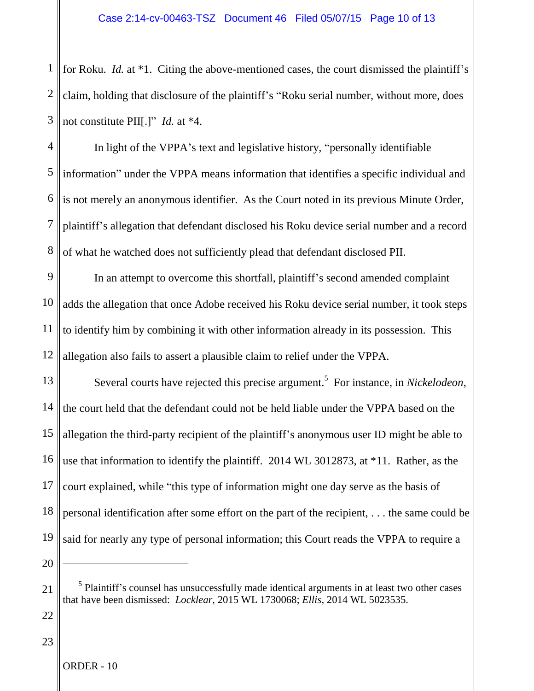1 2 3 for Roku. *Id.* at \*1. Citing the above-mentioned cases, the court dismissed the plaintiff's claim, holding that disclosure of the plaintiff's "Roku serial number, without more, does not constitute PII[.]" *Id.* at \*4.

4 5 6 7 8 In light of the VPPA's text and legislative history, "personally identifiable information" under the VPPA means information that identifies a specific individual and is not merely an anonymous identifier. As the Court noted in its previous Minute Order, plaintiff's allegation that defendant disclosed his Roku device serial number and a record of what he watched does not sufficiently plead that defendant disclosed PII.

9 10 11 12 In an attempt to overcome this shortfall, plaintiff's second amended complaint adds the allegation that once Adobe received his Roku device serial number, it took steps to identify him by combining it with other information already in its possession. This allegation also fails to assert a plausible claim to relief under the VPPA.

13 14 15 16 17 18 19 Several courts have rejected this precise argument. 5 For instance, in *Nickelodeon*, the court held that the defendant could not be held liable under the VPPA based on the allegation the third-party recipient of the plaintiff's anonymous user ID might be able to use that information to identify the plaintiff. 2014 WL 3012873, at \*11. Rather, as the court explained, while "this type of information might one day serve as the basis of personal identification after some effort on the part of the recipient, . . . the same could be said for nearly any type of personal information; this Court reads the VPPA to require a

20

22

23

<sup>&</sup>lt;sup>5</sup> Plaintiff's counsel has unsuccessfully made identical arguments in at least two other cases that have been dismissed: *Locklear*, 2015 WL 1730068; *Ellis*, 2014 WL 5023535.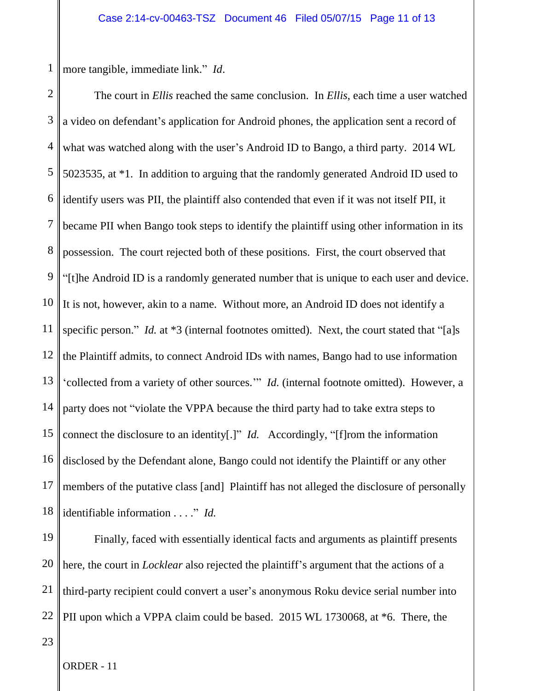1 more tangible, immediate link." *Id*.

2 3 4 5 6 7 8 9 10 11 12 13 14 15 16 17 18 The court in *Ellis* reached the same conclusion. In *Ellis*, each time a user watched a video on defendant's application for Android phones, the application sent a record of what was watched along with the user's Android ID to Bango, a third party. 2014 WL 5023535, at \*1. In addition to arguing that the randomly generated Android ID used to identify users was PII, the plaintiff also contended that even if it was not itself PII, it became PII when Bango took steps to identify the plaintiff using other information in its possession. The court rejected both of these positions. First, the court observed that "[t]he Android ID is a randomly generated number that is unique to each user and device. It is not, however, akin to a name. Without more, an Android ID does not identify a specific person." *Id.* at \*3 (internal footnotes omitted). Next, the court stated that "[a]s the Plaintiff admits, to connect Android IDs with names, Bango had to use information 'collected from a variety of other sources.'" *Id.* (internal footnote omitted). However, a party does not "violate the VPPA because the third party had to take extra steps to connect the disclosure to an identity[.]" *Id.* Accordingly, "[f]rom the information disclosed by the Defendant alone, Bango could not identify the Plaintiff or any other members of the putative class [and] Plaintiff has not alleged the disclosure of personally identifiable information . . . ." *Id.* 

19 20 21 22 Finally, faced with essentially identical facts and arguments as plaintiff presents here, the court in *Locklear* also rejected the plaintiff's argument that the actions of a third-party recipient could convert a user's anonymous Roku device serial number into PII upon which a VPPA claim could be based. 2015 WL 1730068, at \*6. There, the

23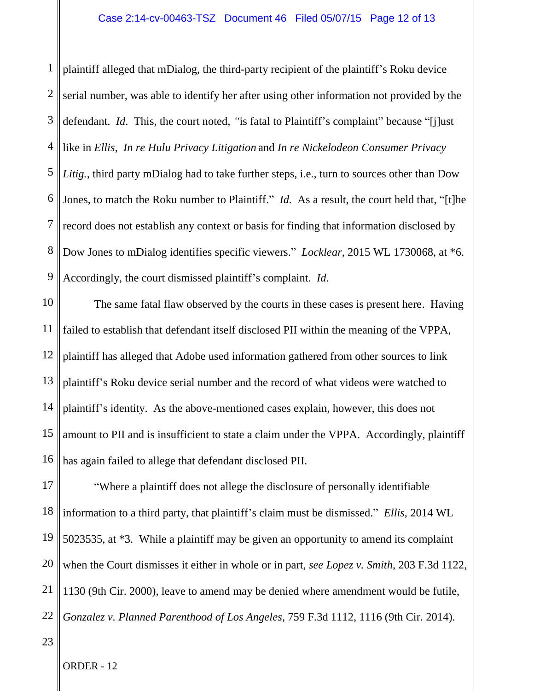1 2 3 4 5 6 7 8 9 plaintiff alleged that mDialog, the third-party recipient of the plaintiff's Roku device serial number, was able to identify her after using other information not provided by the defendant. *Id*. This, the court noted, *"*is fatal to Plaintiff's complaint" because "[j]ust like in *Ellis*, *In re Hulu Privacy Litigation* and *In re Nickelodeon Consumer Privacy Litig.,* third party mDialog had to take further steps, i.e., turn to sources other than Dow Jones, to match the Roku number to Plaintiff." *Id.* As a result, the court held that, "[t]he record does not establish any context or basis for finding that information disclosed by Dow Jones to mDialog identifies specific viewers." *Locklear*, 2015 WL 1730068, at \*6. Accordingly, the court dismissed plaintiff's complaint. *Id.* 

10 11 12 13 14 15 16 The same fatal flaw observed by the courts in these cases is present here. Having failed to establish that defendant itself disclosed PII within the meaning of the VPPA, plaintiff has alleged that Adobe used information gathered from other sources to link plaintiff's Roku device serial number and the record of what videos were watched to plaintiff's identity. As the above-mentioned cases explain, however, this does not amount to PII and is insufficient to state a claim under the VPPA. Accordingly, plaintiff has again failed to allege that defendant disclosed PII.

17 18 19 20 21 22 "Where a plaintiff does not allege the disclosure of personally identifiable information to a third party, that plaintiff's claim must be dismissed." *Ellis*, 2014 WL 5023535, at \*3. While a plaintiff may be given an opportunity to amend its complaint when the Court dismisses it either in whole or in part, *see Lopez v. Smith*, 203 F.3d 1122, 1130 (9th Cir. 2000), leave to amend may be denied where amendment would be futile, *Gonzalez v. Planned Parenthood of Los Angeles*, 759 F.3d 1112, 1116 (9th Cir. 2014).

23